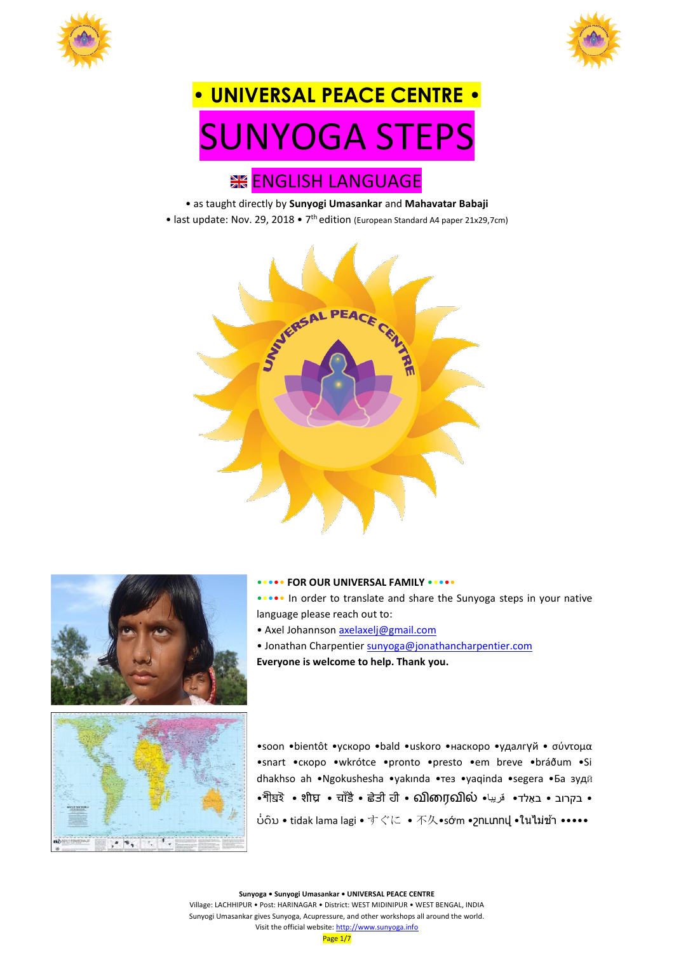



# **• UNIVERSAL PEACE CENTRE •** SUNYOGA STEPS

## **IK ENGLISH LANGUAGE**

- as taught directly by **Sunyogi Umasankar** and **Mahavatar Babaji**
- last update: Nov. 29, 2018 7<sup>th</sup> edition (European Standard A4 paper 21x29,7cm)



••••• **FOR OUR UNIVERSAL FAMILY** •••••



 $-1, -1, -1$ 

•soon •bientôt •ускоро •bald •uskoro •наскоро •удалгүй • σύντομα •snart •скоро •wkrótce •pronto •presto •em breve •bráðum •Si dhakhso ah •Ngokushesha •yakında •тез •yaqinda •segera •Ба зудӣ •শীঘ্রই • शीघ्र • चाँडै • ਛੇਤੀ ਹੀ • ഖിന്വെഖിல் • قريبا • كتابا • • בקרוב • באַלד ບໍ່ດິນ • tidak lama lagi • すぐに • 不久•sớm •շnLunnվ •ในไม่ข้า •••••

Village: LACHHIPUR • Post: HARINAGAR • District: WEST MIDINIPUR • WEST BENGAL, INDIA Sunyogi Umasankar gives Sunyoga, Acupressure, and other workshops all around the world. Visit the official website[: http://www.sunyoga.info](http://www.sunyoga.info/)

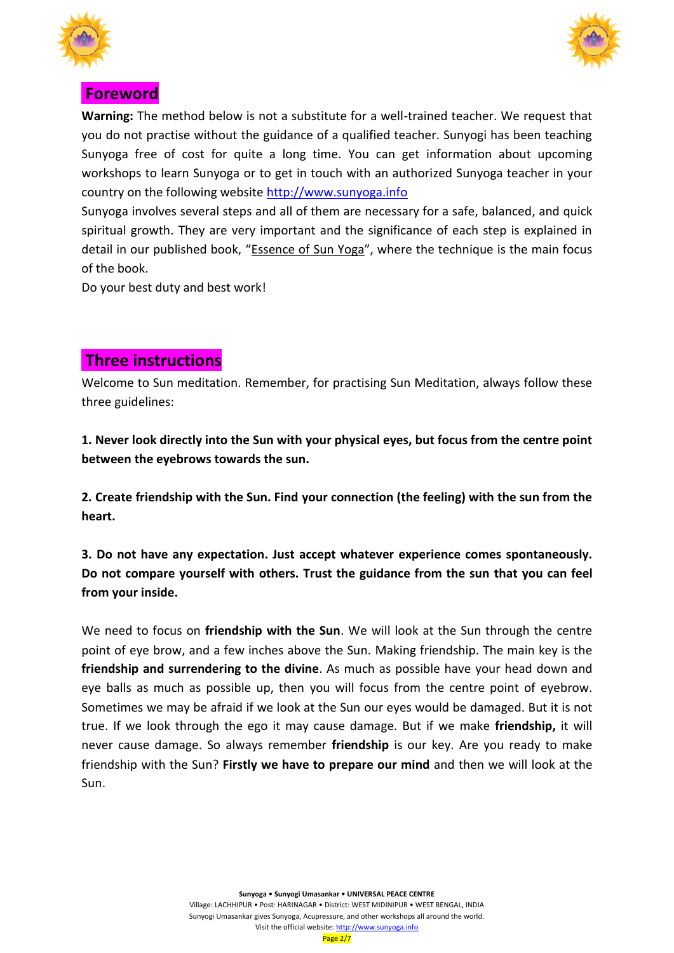



## **Foreword**

**Warning:** The method below is not a substitute for a well-trained teacher. We request that you do not practise without the guidance of a qualified teacher. Sunyogi has been teaching Sunyoga free of cost for quite a long time. You can get information about upcoming workshops to learn Sunyoga or to get in touch with an authorized Sunyoga teacher in your country on the following website [http://www.sunyoga.info](http://www.sunyoga.info/)

Sunyoga involves several steps and all of them are necessary for a safe, balanced, and quick spiritual growth. They are very important and the significance of each step is explained in detail in our published book, "Essence of Sun Yoga", where the technique is the main focus of the book.

Do your best duty and best work!

## **Three instructions**

Welcome to Sun meditation. Remember, for practising Sun Meditation, always follow these three guidelines:

**1. Never look directly into the Sun with your physical eyes, but focus from the centre point between the eyebrows towards the sun.**

**2. Create friendship with the Sun. Find your connection (the feeling) with the sun from the heart.**

**3. Do not have any expectation. Just accept whatever experience comes spontaneously. Do not compare yourself with others. Trust the guidance from the sun that you can feel from your inside.**

We need to focus on **friendship with the Sun**. We will look at the Sun through the centre point of eye brow, and a few inches above the Sun. Making friendship. The main key is the **friendship and surrendering to the divine**. As much as possible have your head down and eye balls as much as possible up, then you will focus from the centre point of eyebrow. Sometimes we may be afraid if we look at the Sun our eyes would be damaged. But it is not true. If we look through the ego it may cause damage. But if we make **friendship,** it will never cause damage. So always remember **friendship** is our key. Are you ready to make friendship with the Sun? **Firstly we have to prepare our mind** and then we will look at the Sun.

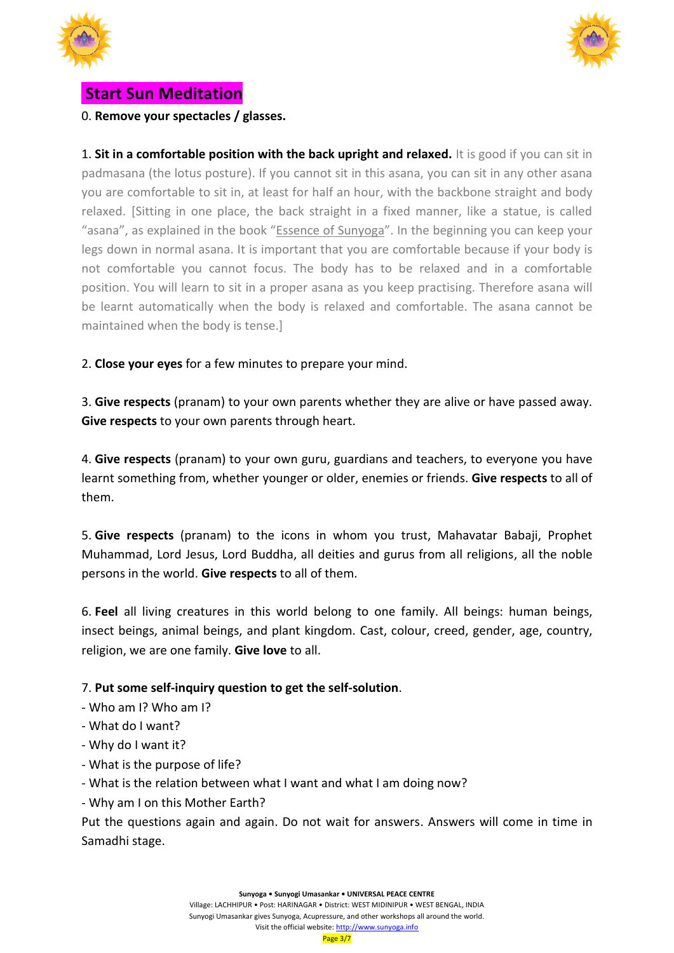



## **Start Sun Meditation**

0. **Remove your spectacles / glasses.**

1. **Sit in a comfortable position with the back upright and relaxed.** It is good if you can sit in padmasana (the lotus posture). If you cannot sit in this asana, you can sit in any other asana you are comfortable to sit in, at least for half an hour, with the backbone straight and body relaxed. [Sitting in one place, the back straight in a fixed manner, like a statue, is called "asana", as explained in the book "Essence of Sunyoga". In the beginning you can keep your legs down in normal asana. It is important that you are comfortable because if your body is not comfortable you cannot focus. The body has to be relaxed and in a comfortable position. You will learn to sit in a proper asana as you keep practising. Therefore asana will be learnt automatically when the body is relaxed and comfortable. The asana cannot be maintained when the body is tense.]

2. **Close your eyes** for a few minutes to prepare your mind.

3. **Give respects** (pranam) to your own parents whether they are alive or have passed away. **Give respects** to your own parents through heart.

4. **Give respects** (pranam) to your own guru, guardians and teachers, to everyone you have learnt something from, whether younger or older, enemies or friends. **Give respects** to all of them.

5. **Give respects** (pranam) to the icons in whom you trust, Mahavatar Babaji, Prophet Muhammad, Lord Jesus, Lord Buddha, all deities and gurus from all religions, all the noble persons in the world. **Give respects** to all of them.

6. **Feel** all living creatures in this world belong to one family. All beings: human beings, insect beings, animal beings, and plant kingdom. Cast, colour, creed, gender, age, country, religion, we are one family. **Give love** to all.

#### 7. **Put some self-inquiry question to get the self-solution**.

- Who am I? Who am I?
- What do I want?
- Why do I want it?
- What is the purpose of life?
- What is the relation between what I want and what I am doing now?
- Why am I on this Mother Earth?

Put the questions again and again. Do not wait for answers. Answers will come in time in Samadhi stage.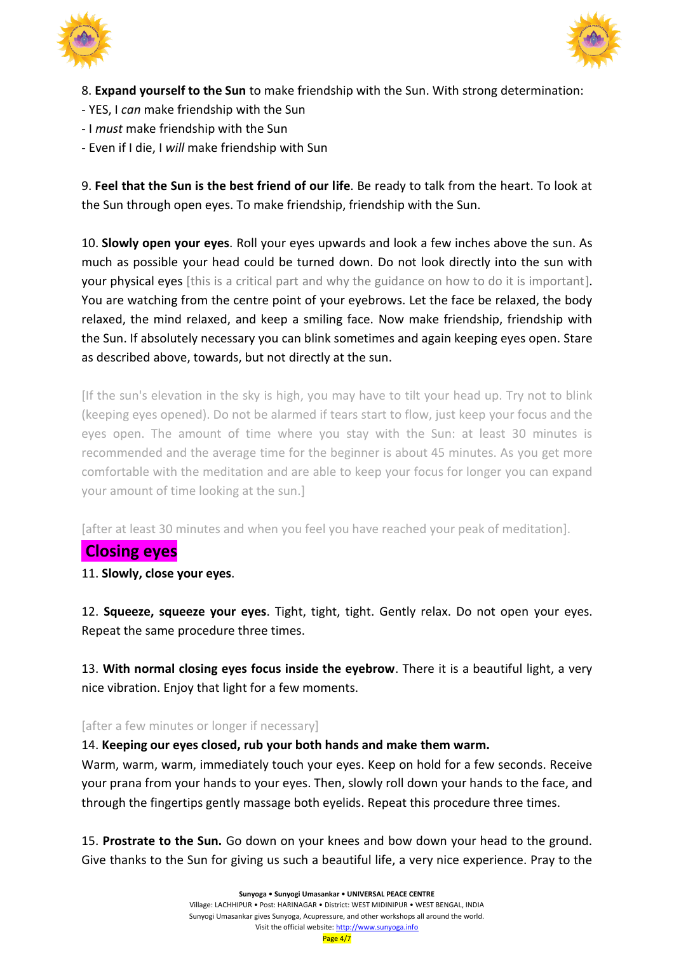



8. **Expand yourself to the Sun** to make friendship with the Sun. With strong determination:

- YES, I *can* make friendship with the Sun
- I *must* make friendship with the Sun
- Even if I die, I *will* make friendship with Sun

9. **Feel that the Sun is the best friend of our life**. Be ready to talk from the heart. To look at the Sun through open eyes. To make friendship, friendship with the Sun.

10. **Slowly open your eyes**. Roll your eyes upwards and look a few inches above the sun. As much as possible your head could be turned down. Do not look directly into the sun with your physical eyes [this is a critical part and why the guidance on how to do it is important]. You are watching from the centre point of your eyebrows. Let the face be relaxed, the body relaxed, the mind relaxed, and keep a smiling face. Now make friendship, friendship with the Sun. If absolutely necessary you can blink sometimes and again keeping eyes open. Stare as described above, towards, but not directly at the sun.

[If the sun's elevation in the sky is high, you may have to tilt your head up. Try not to blink (keeping eyes opened). Do not be alarmed if tears start to flow, just keep your focus and the eyes open. The amount of time where you stay with the Sun: at least 30 minutes is recommended and the average time for the beginner is about 45 minutes. As you get more comfortable with the meditation and are able to keep your focus for longer you can expand your amount of time looking at the sun.]

[after at least 30 minutes and when you feel you have reached your peak of meditation].

#### **Closing eyes**

11. **Slowly, close your eyes**.

12. **Squeeze, squeeze your eyes**. Tight, tight, tight. Gently relax. Do not open your eyes. Repeat the same procedure three times.

13. **With normal closing eyes focus inside the eyebrow**. There it is a beautiful light, a very nice vibration. Enjoy that light for a few moments.

#### [after a few minutes or longer if necessary]

14. **Keeping our eyes closed, rub your both hands and make them warm.**

Warm, warm, warm, immediately touch your eyes. Keep on hold for a few seconds. Receive your prana from your hands to your eyes. Then, slowly roll down your hands to the face, and through the fingertips gently massage both eyelids. Repeat this procedure three times.

15. **Prostrate to the Sun.** Go down on your knees and bow down your head to the ground. Give thanks to the Sun for giving us such a beautiful life, a very nice experience. Pray to the

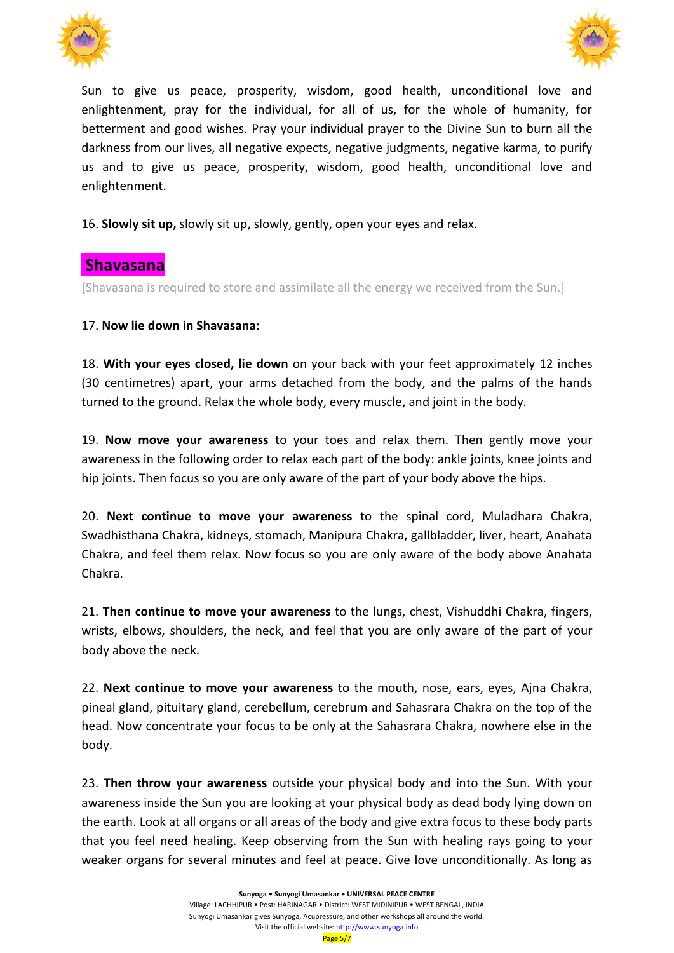



Sun to give us peace, prosperity, wisdom, good health, unconditional love and enlightenment, pray for the individual, for all of us, for the whole of humanity, for betterment and good wishes. Pray your individual prayer to the Divine Sun to burn all the darkness from our lives, all negative expects, negative judgments, negative karma, to purify us and to give us peace, prosperity, wisdom, good health, unconditional love and enlightenment.

16. **Slowly sit up,** slowly sit up, slowly, gently, open your eyes and relax.

### **Shavasana**

[Shavasana is required to store and assimilate all the energy we received from the Sun.]

#### 17. **Now lie down in Shavasana:**

18. **With your eyes closed, lie down** on your back with your feet approximately 12 inches (30 centimetres) apart, your arms detached from the body, and the palms of the hands turned to the ground. Relax the whole body, every muscle, and joint in the body.

19. **Now move your awareness** to your toes and relax them. Then gently move your awareness in the following order to relax each part of the body: ankle joints, knee joints and hip joints. Then focus so you are only aware of the part of your body above the hips.

20. **Next continue to move your awareness** to the spinal cord, Muladhara Chakra, Swadhisthana Chakra, kidneys, stomach, Manipura Chakra, gallbladder, liver, heart, Anahata Chakra, and feel them relax. Now focus so you are only aware of the body above Anahata Chakra.

21. **Then continue to move your awareness** to the lungs, chest, Vishuddhi Chakra, fingers, wrists, elbows, shoulders, the neck, and feel that you are only aware of the part of your body above the neck.

22. **Next continue to move your awareness** to the mouth, nose, ears, eyes, Ajna Chakra, pineal gland, pituitary gland, cerebellum, cerebrum and Sahasrara Chakra on the top of the head. Now concentrate your focus to be only at the Sahasrara Chakra, nowhere else in the body.

23. **Then throw your awareness** outside your physical body and into the Sun. With your awareness inside the Sun you are looking at your physical body as dead body lying down on the earth. Look at all organs or all areas of the body and give extra focus to these body parts that you feel need healing. Keep observing from the Sun with healing rays going to your weaker organs for several minutes and feel at peace. Give love unconditionally. As long as

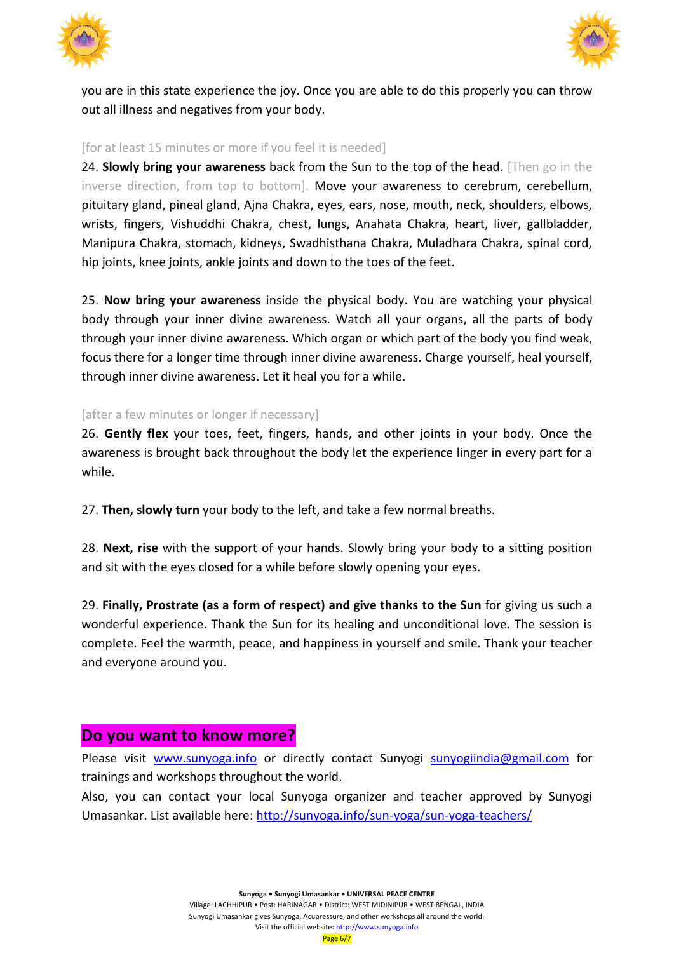



you are in this state experience the joy. Once you are able to do this properly you can throw out all illness and negatives from your body.

#### [for at least 15 minutes or more if you feel it is needed]

24. **Slowly bring your awareness** back from the Sun to the top of the head. [Then go in the inverse direction, from top to bottom]. Move your awareness to cerebrum, cerebellum, pituitary gland, pineal gland, Ajna Chakra, eyes, ears, nose, mouth, neck, shoulders, elbows, wrists, fingers, Vishuddhi Chakra, chest, lungs, Anahata Chakra, heart, liver, gallbladder, Manipura Chakra, stomach, kidneys, Swadhisthana Chakra, Muladhara Chakra, spinal cord, hip joints, knee joints, ankle joints and down to the toes of the feet.

25. **Now bring your awareness** inside the physical body. You are watching your physical body through your inner divine awareness. Watch all your organs, all the parts of body through your inner divine awareness. Which organ or which part of the body you find weak, focus there for a longer time through inner divine awareness. Charge yourself, heal yourself, through inner divine awareness. Let it heal you for a while.

#### [after a few minutes or longer if necessary]

26. **Gently flex** your toes, feet, fingers, hands, and other joints in your body. Once the awareness is brought back throughout the body let the experience linger in every part for a while.

27. **Then, slowly turn** your body to the left, and take a few normal breaths.

28. **Next, rise** with the support of your hands. Slowly bring your body to a sitting position and sit with the eyes closed for a while before slowly opening your eyes.

29. **Finally, Prostrate (as a form of respect) and give thanks to the Sun** for giving us such a wonderful experience. Thank the Sun for its healing and unconditional love. The session is complete. Feel the warmth, peace, and happiness in yourself and smile. Thank your teacher and everyone around you.

#### **Do you want to know more?**

Please visit [www.sunyoga.info](http://www.sunyoga.info/) or directly contact Sunyogi [sunyogiindia@gmail.com](mailto:sunyogiindia@gmail.com) for trainings and workshops throughout the world.

Also, you can contact your local Sunyoga organizer and teacher approved by Sunyogi Umasankar. List available here:<http://sunyoga.info/sun-yoga/sun-yoga-teachers/>